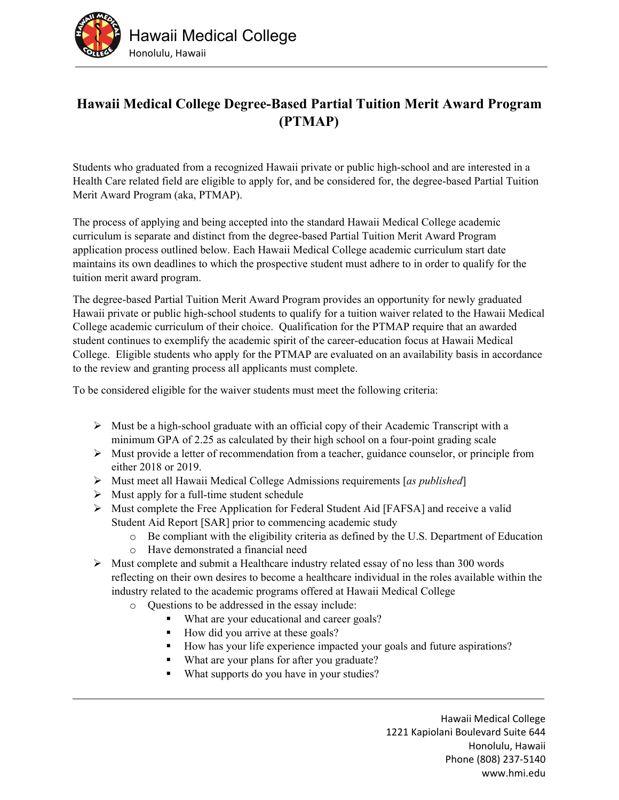

## **Hawaii Medical College Degree-Based Partial Tuition Merit Award Program (PTMAP)**

Students who graduated from a recognized Hawaii private or public high-school and are interested in a Health Care related field are eligible to apply for, and be considered for, the degree-based Partial Tuition Merit Award Program (aka, PTMAP).

The process of applying and being accepted into the standard Hawaii Medical College academic curriculum is separate and distinct from the degree-based Partial Tuition Merit Award Program application process outlined below. Each Hawaii Medical College academic curriculum start date maintains its own deadlines to which the prospective student must adhere to in order to qualify for the tuition merit award program.

The degree-based Partial Tuition Merit Award Program provides an opportunity for newly graduated Hawaii private or public high-school students to qualify for a tuition waiver related to the Hawaii Medical College academic curriculum of their choice. Qualification for the PTMAP require that an awarded student continues to exemplify the academic spirit of the career-education focus at Hawaii Medical College. Eligible students who apply for the PTMAP are evaluated on an availability basis in accordance to the review and granting process all applicants must complete.

To be considered eligible for the waiver students must meet the following criteria:

- $\triangleright$  Must be a high-school graduate with an official copy of their Academic Transcript with a minimum GPA of 2.25 as calculated by their high school on a four-point grading scale
- $\triangleright$  Must provide a letter of recommendation from a teacher, guidance counselor, or principle from either 2018 or 2019.
- Must meet all Hawaii Medical College Admissions requirements [*as published*]
- $\triangleright$  Must apply for a full-time student schedule
- Must complete the Free Application for Federal Student Aid [FAFSA] and receive a valid Student Aid Report [SAR] prior to commencing academic study
	- o Be compliant with the eligibility criteria as defined by the U.S. Department of Education
	- o Have demonstrated a financial need
- $\triangleright$  Must complete and submit a Healthcare industry related essay of no less than 300 words reflecting on their own desires to become a healthcare individual in the roles available within the industry related to the academic programs offered at Hawaii Medical College
	- o Questions to be addressed in the essay include:
		- What are your educational and career goals?
		- How did you arrive at these goals?
		- How has your life experience impacted your goals and future aspirations?
		- What are your plans for after you graduate?
		- What supports do you have in your studies?

Hawaii Medical College 1221 Kapiolani Boulevard Suite 644 Honolulu, Hawaii Phone (808) 237‐5140 www.hmi.edu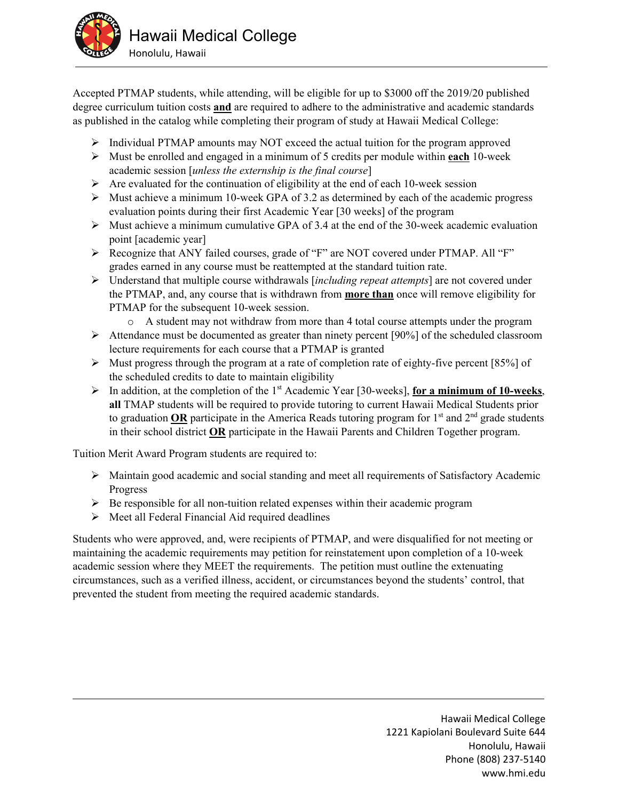

Accepted PTMAP students, while attending, will be eligible for up to \$3000 off the 2019/20 published degree curriculum tuition costs **and** are required to adhere to the administrative and academic standards as published in the catalog while completing their program of study at Hawaii Medical College:

- Individual PTMAP amounts may NOT exceed the actual tuition for the program approved
- Must be enrolled and engaged in a minimum of 5 credits per module within **each** 10-week academic session [*unless the externship is the final course*]
- $\triangleright$  Are evaluated for the continuation of eligibility at the end of each 10-week session
- $\triangleright$  Must achieve a minimum 10-week GPA of 3.2 as determined by each of the academic progress evaluation points during their first Academic Year [30 weeks] of the program
- $\triangleright$  Must achieve a minimum cumulative GPA of 3.4 at the end of the 30-week academic evaluation point [academic year]
- Recognize that ANY failed courses, grade of "F" are NOT covered under PTMAP. All "F" grades earned in any course must be reattempted at the standard tuition rate.
- Understand that multiple course withdrawals [*including repeat attempts*] are not covered under the PTMAP, and, any course that is withdrawn from **more than** once will remove eligibility for PTMAP for the subsequent 10-week session.
	- o A student may not withdraw from more than 4 total course attempts under the program
- $\triangleright$  Attendance must be documented as greater than ninety percent [90%] of the scheduled classroom lecture requirements for each course that a PTMAP is granted
- $\triangleright$  Must progress through the program at a rate of completion rate of eighty-five percent [85%] of the scheduled credits to date to maintain eligibility
- $\triangleright$  In addition, at the completion of the 1<sup>st</sup> Academic Year [30-weeks], **for a minimum of 10-weeks**, **all** TMAP students will be required to provide tutoring to current Hawaii Medical Students prior to graduation OR participate in the America Reads tutoring program for  $1<sup>st</sup>$  and  $2<sup>nd</sup>$  grade students in their school district **OR** participate in the Hawaii Parents and Children Together program.

Tuition Merit Award Program students are required to:

- Maintain good academic and social standing and meet all requirements of Satisfactory Academic Progress
- $\triangleright$  Be responsible for all non-tuition related expenses within their academic program
- $\triangleright$  Meet all Federal Financial Aid required deadlines

Students who were approved, and, were recipients of PTMAP, and were disqualified for not meeting or maintaining the academic requirements may petition for reinstatement upon completion of a 10-week academic session where they MEET the requirements. The petition must outline the extenuating circumstances, such as a verified illness, accident, or circumstances beyond the students' control, that prevented the student from meeting the required academic standards.

> Hawaii Medical College 1221 Kapiolani Boulevard Suite 644 Honolulu, Hawaii Phone (808) 237‐5140 www.hmi.edu